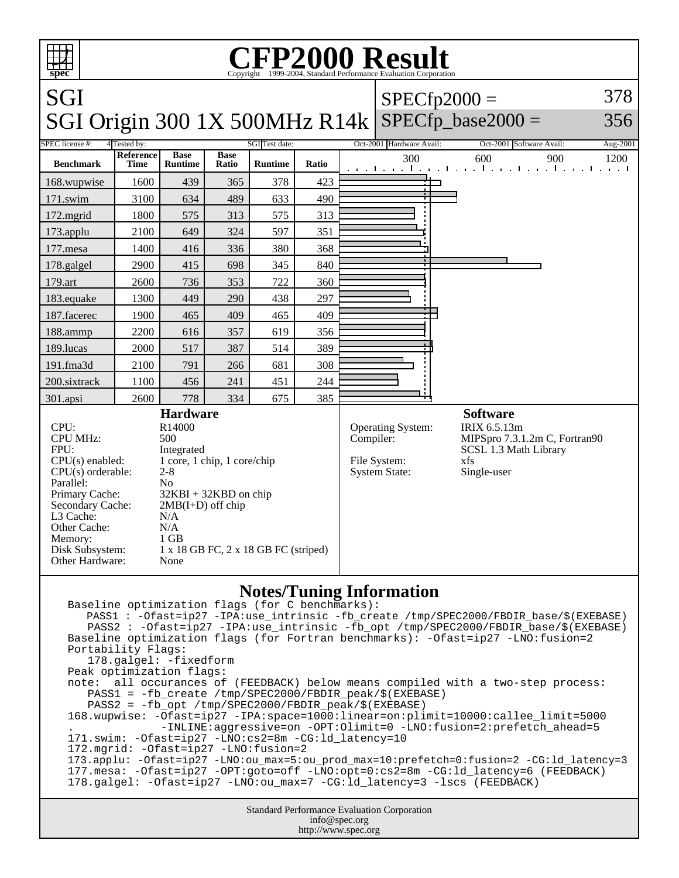| <b>CFP2000 Result</b><br>ŦŦ<br>Copyright ©1999-2004, Standard Performance Evaluation Corporation<br>spec                                                                                                                                                                                                                                                                                                                                             |                   |                               |                      |                |       |                       |                                                           |                                                                                                                 |  |
|------------------------------------------------------------------------------------------------------------------------------------------------------------------------------------------------------------------------------------------------------------------------------------------------------------------------------------------------------------------------------------------------------------------------------------------------------|-------------------|-------------------------------|----------------------|----------------|-------|-----------------------|-----------------------------------------------------------|-----------------------------------------------------------------------------------------------------------------|--|
| SGI                                                                                                                                                                                                                                                                                                                                                                                                                                                  |                   |                               |                      |                |       | 378<br>$SPECfp2000 =$ |                                                           |                                                                                                                 |  |
|                                                                                                                                                                                                                                                                                                                                                                                                                                                      |                   |                               |                      |                |       |                       |                                                           | SGI Origin 300 1X 500MHz R14k SPECfp_base2000 =<br>356                                                          |  |
| <b>SPEC</b> license #:<br>4 Tested by:                                                                                                                                                                                                                                                                                                                                                                                                               |                   |                               |                      | SGI Test date: |       |                       | Oct-2001 Hardware Avail:                                  | Oct-2001 Software Avail:<br>Aug-2001                                                                            |  |
| <b>Benchmark</b>                                                                                                                                                                                                                                                                                                                                                                                                                                     | Reference<br>Time | <b>Base</b><br><b>Runtime</b> | <b>Base</b><br>Ratio | <b>Runtime</b> | Ratio |                       | 300                                                       | 600<br>900<br>1200<br>المتوجا وتوجا وتوجا وتوجا وتوجا وتوجا وتوجا وتو                                           |  |
| 168.wupwise                                                                                                                                                                                                                                                                                                                                                                                                                                          | 1600              | 439                           | 365                  | 378            | 423   |                       |                                                           |                                                                                                                 |  |
| 171.swim                                                                                                                                                                                                                                                                                                                                                                                                                                             | 3100              | 634                           | 489                  | 633            | 490   |                       |                                                           |                                                                                                                 |  |
| $172$ .mgrid                                                                                                                                                                                                                                                                                                                                                                                                                                         | 1800              | 575                           | 313                  | 575            | 313   |                       |                                                           |                                                                                                                 |  |
| 173.applu                                                                                                                                                                                                                                                                                                                                                                                                                                            | 2100              | 649                           | 324                  | 597            | 351   |                       |                                                           |                                                                                                                 |  |
| $177$ .mesa                                                                                                                                                                                                                                                                                                                                                                                                                                          | 1400              | 416                           | 336                  | 380            | 368   |                       |                                                           |                                                                                                                 |  |
| 178.galgel                                                                                                                                                                                                                                                                                                                                                                                                                                           | 2900              | 415                           | 698                  | 345            | 840   |                       |                                                           |                                                                                                                 |  |
| 179.art                                                                                                                                                                                                                                                                                                                                                                                                                                              | 2600              | 736                           | 353                  | 722            | 360   |                       |                                                           |                                                                                                                 |  |
| 183.equake                                                                                                                                                                                                                                                                                                                                                                                                                                           | 1300              | 449                           | 290                  | 438            | 297   |                       |                                                           |                                                                                                                 |  |
| 187.facerec                                                                                                                                                                                                                                                                                                                                                                                                                                          | 1900              | 465                           | 409                  | 465            | 409   |                       |                                                           |                                                                                                                 |  |
| 188.ammp                                                                                                                                                                                                                                                                                                                                                                                                                                             | 2200              | 616                           | 357                  | 619            | 356   |                       |                                                           |                                                                                                                 |  |
| 189.lucas                                                                                                                                                                                                                                                                                                                                                                                                                                            | 2000              | 517                           | 387                  | 514            | 389   |                       |                                                           |                                                                                                                 |  |
| 191.fma3d                                                                                                                                                                                                                                                                                                                                                                                                                                            | 2100              | 791                           | 266                  | 681            | 308   |                       |                                                           |                                                                                                                 |  |
| 200.sixtrack                                                                                                                                                                                                                                                                                                                                                                                                                                         | 1100              | 456                           | 241                  | 451            | 244   |                       |                                                           |                                                                                                                 |  |
| 301.apsi                                                                                                                                                                                                                                                                                                                                                                                                                                             | 2600              | 778                           | 334                  | 675            | 385   |                       |                                                           |                                                                                                                 |  |
| <b>Hardware</b><br>CPU:<br>R14000<br><b>CPU MHz:</b><br>500<br>FPU:<br>Integrated<br>1 core, 1 chip, 1 core/chip<br>$CPU(s)$ enabled:<br>$CPU(s)$ orderable:<br>$2 - 8$<br>Parallel:<br>N <sub>o</sub><br>Primary Cache:<br>$32KBI + 32KBD$ on chip<br>Secondary Cache:<br>$2MB(I+D)$ off chip<br>L3 Cache:<br>N/A<br>Other Cache:<br>N/A<br>$1$ GB<br>Memory:<br>Disk Subsystem:<br>1 x 18 GB FC, 2 x 18 GB FC (striped)<br>Other Hardware:<br>None |                   |                               |                      |                |       | Compiler:             | Operating System:<br>File System:<br><b>System State:</b> | <b>Software</b><br>IRIX 6.5.13m<br>MIPSpro 7.3.1.2m C, Fortran90<br>SCSL 1.3 Math Library<br>xfs<br>Single-user |  |
| <b>Notes/Tuning Information</b><br>Baseline optimization flags (for C benchmarks):<br>PASS1 : - Ofast=ip27 - IPA:use_intrinsic - fb_create /tmp/SPEC2000/FBDIR_base/\$(EXEBASE)<br>PASS2 : - Ofast=ip27 - IPA:use_intrinsic -fb_opt /tmp/SPEC2000/FBDIR_base/\$(EXEBASE)                                                                                                                                                                             |                   |                               |                      |                |       |                       |                                                           |                                                                                                                 |  |

Baseline optimization flags (for Fortran benchmarks): -Ofast=ip27 -LNO:fusion=2 Portability Flags:

```
 178.galgel: -fixedform
```
Peak optimization flags:

```
note: all occurances of (FEEDBACK) below means compiled with a two-step process:
    PASS1 = -fb_create /tmp/SPEC2000/FBDIR_peak/$(EXEBASE)
```
PASS2 = -fb\_opt /tmp/SPEC2000/FBDIR\_peak/\$(EXEBASE)

```
168.wupwise: -Ofast=ip27 -IPA:space=1000:linear=on:plimit=10000:callee_limit=5000
              . -INLINE:aggressive=on -OPT:Olimit=0 -LNO:fusion=2:prefetch_ahead=5
171.swim: -Ofast=ip27 -LNO:cs2=8m -CG:ld_latency=10
172.mgrid: -Ofast=ip27 -LNO:fusion=2
```

```
173.applu: -Ofast=ip27 -LNO:ou_max=5:ou_prod_max=10:prefetch=0:fusion=2 -CG:ld_latency=3
177.mesa: -Ofast=ip27 -OPT:goto=off -LNO:opt=0:cs2=8m -CG:ld_latency=6 (FEEDBACK)
178.galgel: -Ofast=ip27 -LNO:ou_max=7 -CG:ld_latency=3 -lscs (FEEDBACK)
```

```
Standard Performance Evaluation Corporation
             info@spec.org
           http://www.spec.org
```